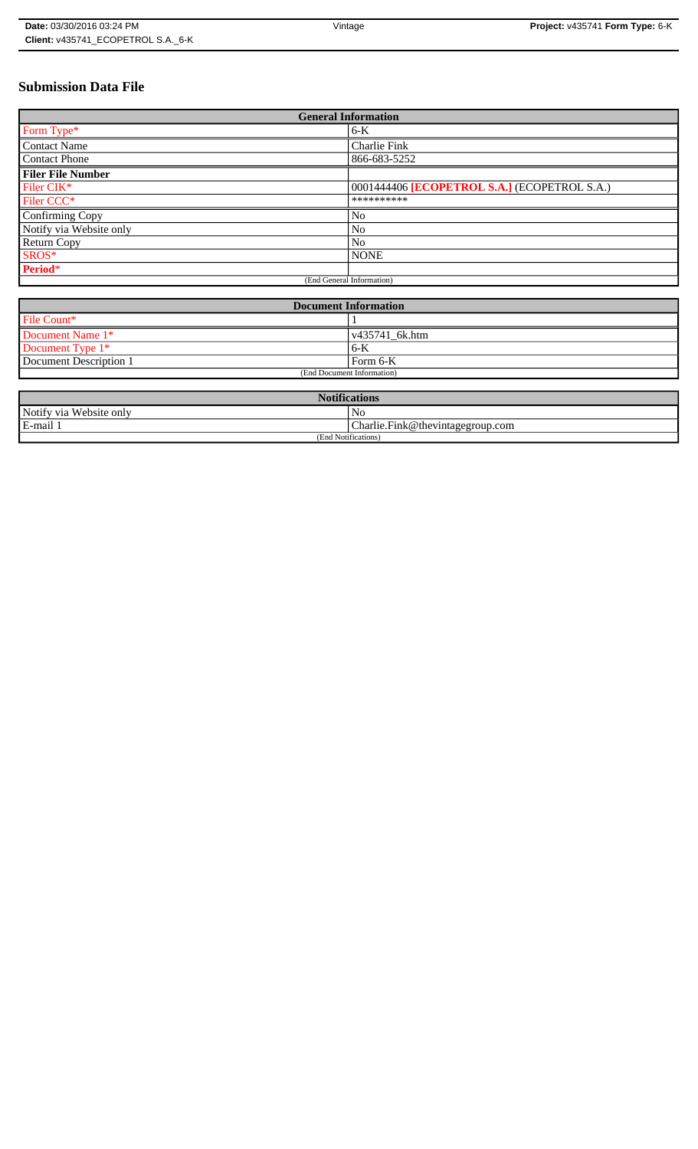# **Submission Data File**

| <b>General Information</b> |                                              |
|----------------------------|----------------------------------------------|
| Form Type*                 | $6-K$                                        |
| <b>Contact Name</b>        | Charlie Fink                                 |
| <b>Contact Phone</b>       | 866-683-5252                                 |
| <b>Filer File Number</b>   |                                              |
| Filer CIK*                 | 0001444406 [ECOPETROL S.A.] (ECOPETROL S.A.) |
| Filer CCC <sup>*</sup>     | **********                                   |
| Confirming Copy            | No                                           |
| Notify via Website only    | No                                           |
| <b>Return Copy</b>         | N <sub>o</sub>                               |
| SROS*                      | <b>NONE</b>                                  |
| Period*                    |                                              |
| (End General Information)  |                                              |

| <b>Document Information</b> |                        |
|-----------------------------|------------------------|
| File Count*                 |                        |
| Document Name 1*            | $\sqrt{435741}$ 6k.htm |
| Document Type 1*            | 6-K                    |
| Document Description 1      | l Form 6-K             |
| (End Document Information)  |                        |

| <b>Notifications</b>    |                                  |
|-------------------------|----------------------------------|
| Notify via Website only | N <sub>0</sub>                   |
| E-mail 1                | Charlie.Fink@thevintagegroup.com |
| (End Notifications)     |                                  |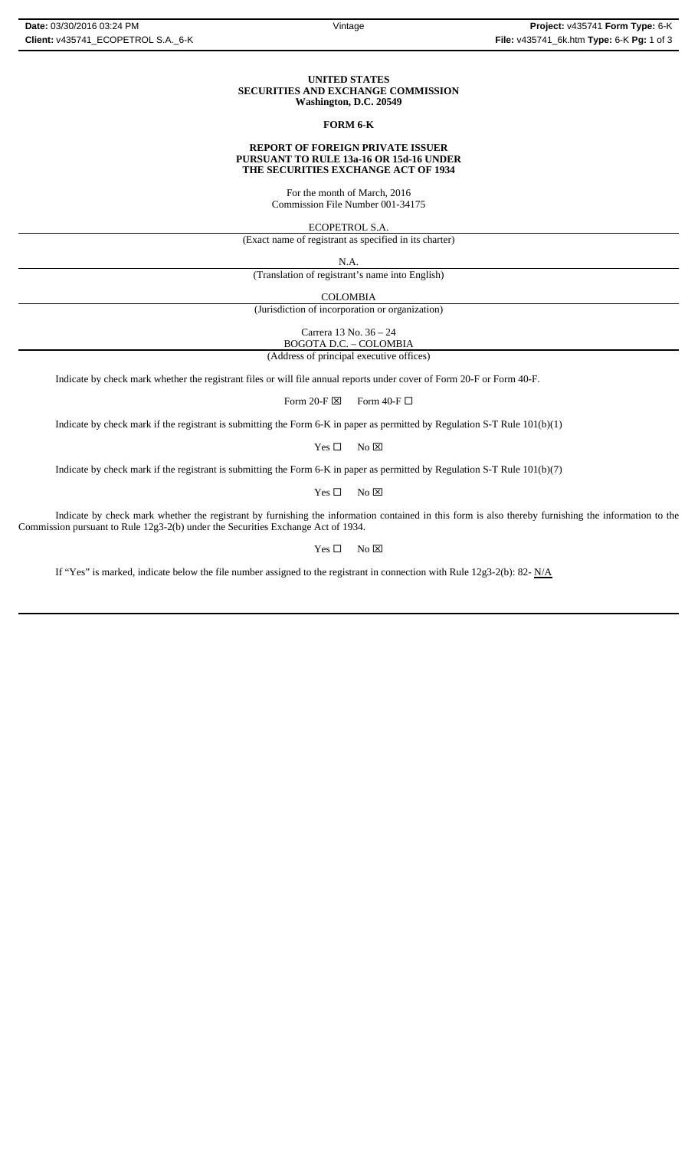### **UNITED STATES SECURITIES AND EXCHANGE COMMISSION Washington, D.C. 20549**

## **FORM 6-K**

### **REPORT OF FOREIGN PRIVATE ISSUER PURSUANT TO RULE 13a-16 OR 15d-16 UNDER THE SECURITIES EXCHANGE ACT OF 1934**

For the month of March, 2016 Commission File Number 001-34175

ECOPETROL S.A.

(Exact name of registrant as specified in its charter)

N.A.

(Translation of registrant's name into English)

COLOMBIA

(Jurisdiction of incorporation or organization)

Carrera 13 No. 36 – 24

BOGOTA D.C. – COLOMBIA (Address of principal executive offices)

Indicate by check mark whether the registrant files or will file annual reports under cover of Form 20-F or Form 40-F.

Form 20-F  $\boxtimes$  Form 40-F  $\Box$ 

Indicate by check mark if the registrant is submitting the Form 6-K in paper as permitted by Regulation S-T Rule 101(b)(1)

 $Yes \Box$  No  $\boxtimes$ 

Indicate by check mark if the registrant is submitting the Form 6-K in paper as permitted by Regulation S-T Rule 101(b)(7)

 $Yes \Box$  No  $\boxtimes$ 

Indicate by check mark whether the registrant by furnishing the information contained in this form is also thereby furnishing the information to the Commission pursuant to Rule 12g3-2(b) under the Securities Exchange Act of 1934.

 $Yes \Box$  No  $\boxtimes$ 

If "Yes" is marked, indicate below the file number assigned to the registrant in connection with Rule 12g3-2(b): 82-  $N/A$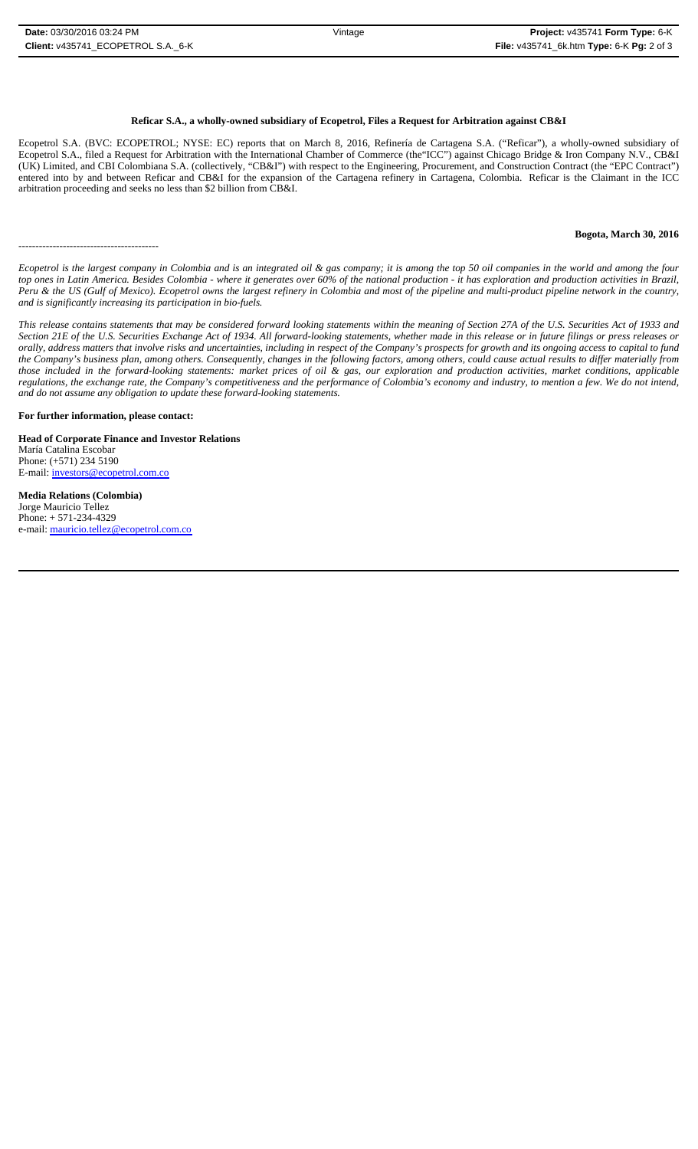## **Reficar S.A., a wholly-owned subsidiary of Ecopetrol, Files a Request for Arbitration against CB&I**

Ecopetrol S.A. (BVC: ECOPETROL; NYSE: EC) reports that on March 8, 2016, Refinería de Cartagena S.A. ("Reficar"), a wholly-owned subsidiary of Ecopetrol S.A., filed a Request for Arbitration with the International Chamber of Commerce (the"ICC") against Chicago Bridge & Iron Company N.V., CB&I (UK) Limited, and CBI Colombiana S.A. (collectively, "CB&I") with respect to the Engineering, Procurement, and Construction Contract (the "EPC Contract") entered into by and between Reficar and CB&I for the expansion of the Cartagena refinery in Cartagena, Colombia. Reficar is the Claimant in the ICC arbitration proceeding and seeks no less than \$2 billion from CB&I.

## **Bogota, March 30, 2016**

*Ecopetrol is the largest company in Colombia and is an integrated oil & gas company; it is among the top 50 oil companies in the world and among the four top ones in Latin America. Besides Colombia - where it generates over 60% of the national production - it has exploration and production activities in Brazil, Peru & the US (Gulf of Mexico). Ecopetrol owns the largest refinery in Colombia and most of the pipeline and multi-product pipeline network in the country, and is significantly increasing its participation in bio-fuels.*

*This release contains statements that may be considered forward looking statements within the meaning of Section 27A of the U.S. Securities Act of 1933 and Section 21E of the U.S. Securities Exchange Act of 1934. All forward-looking statements, whether made in this release or in future filings or press releases or orally, address matters that involve risks and uncertainties, including in respect of the Company's prospects for growth and its ongoing access to capital to fund the Company's business plan, among others. Consequently, changes in the following factors, among others, could cause actual results to differ materially from those included in the forward-looking statements: market prices of oil & gas, our exploration and production activities, market conditions, applicable regulations, the exchange rate, the Company's competitiveness and the performance of Colombia's economy and industry, to mention a few. We do not intend, and do not assume any obligation to update these forward-looking statements.*

#### **For further information, please contact:**

-----------------------------------------

**Head of Corporate Finance and Investor Relations** María Catalina Escobar Phone: (+571) 234 5190 E-mail: investors@ecopetrol.com.co

**Media Relations (Colombia)**  Jorge Mauricio Tellez Phone: + 571-234-4329 e-mail: mauricio.tellez@ecopetrol.com.co